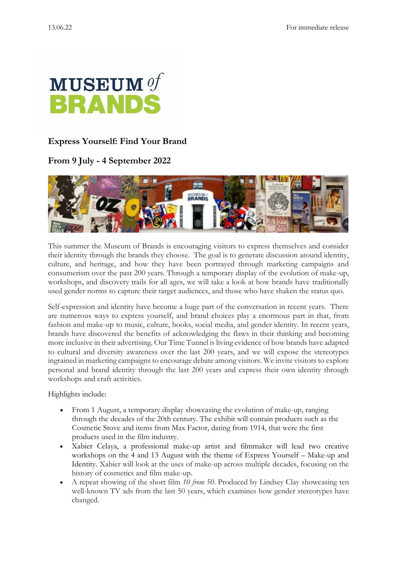

## **Express Yourself: Find Your Brand**

## **From 9 July - 4 September 2022**



This summer the Museum of Brands is encouraging visitors to express themselves and consider their identity through the brands they choose. The goal is to generate discussion around identity, culture, and heritage, and how they have been portrayed through marketing campaigns and consumerism over the past 200 years. Through a temporary display of the evolution of make-up, workshops, and discovery trails for all ages, we will take a look at how brands have traditionally used gender norms to capture their target audiences, and those who have shaken the status quo.

Self-expression and identity have become a huge part of the conversation in recent years. There are numerous ways to express yourself, and brand choices play a enormous part in that, from fashion and make-up to music, culture, books, social media, and gender identity. In recent years, brands have discovered the benefits of acknowledging the flaws in their thinking and becoming more inclusive in their advertising. Our Time Tunnel is living evidence of how brands have adapted to cultural and diversity awareness over the last 200 years, and we will expose the stereotypes ingrained in marketing campaigns to encourage debate among visitors. We invite visitors to explore personal and brand identity through the last 200 years and express their own identity through workshops and craft activities.

Highlights include:

- From 1 August, a temporary display showcasing the evolution of make-up, ranging through the decades of the 20th century. The exhibit will contain products such as the Cosmetic Stove and items from Max Factor, dating from 1914, that were the first products used in the film industry.
- Xabier Celaya, a professional make-up artist and filmmaker will lead two creative workshops on the 4 and 13 August with the theme of Express Yourself – Make-up and Identity. Xabier will look at the uses of make-up across multiple decades, focusing on the history of cosmetics and film make-up.
- A repeat showing of the short film *10 from 50*. Produced by Lindsey Clay showcasing ten well-known TV ads from the last 50 years, which examines how gender stereotypes have changed.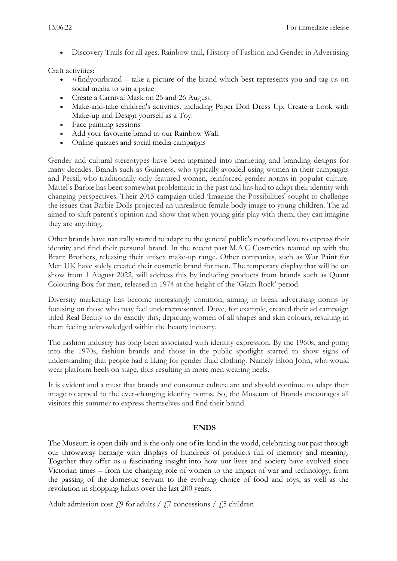• Discovery Trails for all ages. Rainbow trail, History of Fashion and Gender in Advertising

Craft activities:

- #findyourbrand take a picture of the brand which best represents you and tag us on social media to win a prize
- Create a Carnival Mask on 25 and 26 August.
- Make-and-take children's activities, including Paper Doll Dress Up, Create a Look with Make-up and Design yourself as a Toy.
- Face painting sessions
- Add your favourite brand to our Rainbow Wall.
- Online quizzes and social media campaigns

Gender and cultural stereotypes have been ingrained into marketing and branding designs for many decades. Brands such as Guinness, who typically avoided using women in their campaigns and Persil, who traditionally only featured women, reinforced gender norms in popular culture. Mattel's Barbie has been somewhat problematic in the past and has had to adapt their identity with changing perspectives. Their 2015 campaign titled 'Imagine the Possibilities' sought to challenge the issues that Barbie Dolls projected an unrealistic female body image to young children. The ad aimed to shift parent's opinion and show that when young girls play with them, they can imagine they are anything.

Other brands have naturally started to adapt to the general public's newfound love to express their identity and find their personal brand. In the recent past M.A.C Cosmetics teamed up with the Brant Brothers, releasing their unisex make-up range. Other companies, such as War Paint for Men UK have solely created their cosmetic brand for men. The temporary display that will be on show from 1 August 2022, will address this by including products from brands such as Quant Colouring Box for men, released in 1974 at the height of the 'Glam Rock' period.

Diversity marketing has become increasingly common, aiming to break advertising norms by focusing on those who may feel underrepresented. Dove, for example, created their ad campaign titled Real Beauty to do exactly this; depicting women of all shapes and skin colours, resulting in them feeling acknowledged within the beauty industry.

The fashion industry has long been associated with identity expression. By the 1960s, and going into the 1970s, fashion brands and those in the public spotlight started to show signs of understanding that people had a liking for gender fluid clothing. Namely Elton John, who would wear platform heels on stage, thus resulting in more men wearing heels.

It is evident and a must that brands and consumer culture are and should continue to adapt their image to appeal to the ever-changing identity norms. So, the Museum of Brands encourages all visitors this summer to express themselves and find their brand.

## **ENDS**

The Museum is open daily and is the only one of its kind in the world, celebrating our past through our throwaway heritage with displays of hundreds of products full of memory and meaning. Together they offer us a fascinating insight into how our lives and society have evolved since Victorian times – from the changing role of women to the impact of war and technology; from the passing of the domestic servant to the evolving choice of food and toys, as well as the revolution in shopping habits over the last 200 years.

Adult admission cost  $\mathcal{L}9$  for adults /  $\mathcal{L}7$  concessions /  $\mathcal{L}5$  children